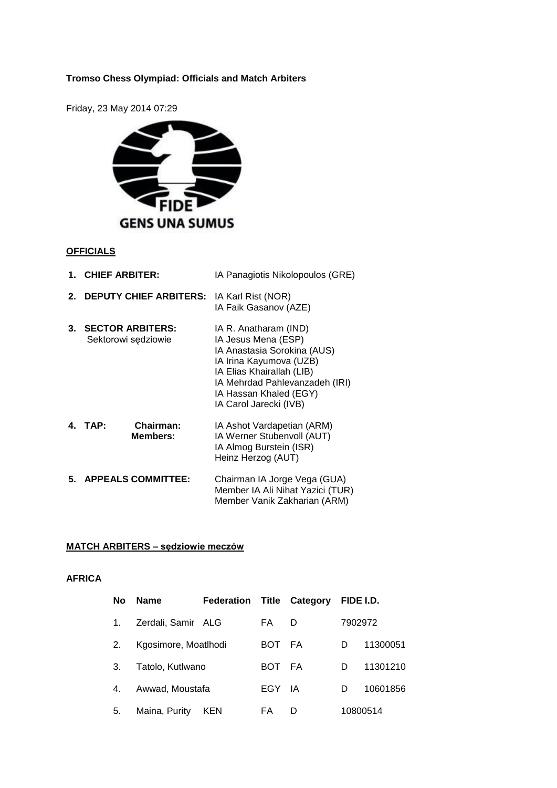# **Tromso Chess Olympiad: Officials and Match Arbiters**

Friday, 23 May 2014 07:29



#### **OFFICIALS**

|    | 1. CHIEF ARBITER:                              | IA Panagiotis Nikolopoulos (GRE)                                                                                                                                                                                          |  |  |  |  |
|----|------------------------------------------------|---------------------------------------------------------------------------------------------------------------------------------------------------------------------------------------------------------------------------|--|--|--|--|
| 2. | <b>DEPUTY CHIEF ARBITERS:</b>                  | IA Karl Rist (NOR)<br>IA Faik Gasanov (AZE)                                                                                                                                                                               |  |  |  |  |
| 3. | <b>SECTOR ARBITERS:</b><br>Sektorowi sędziowie | IA R. Anatharam (IND)<br>IA Jesus Mena (ESP)<br>IA Anastasia Sorokina (AUS)<br>IA Irina Kayumova (UZB)<br>IA Elias Khairallah (LIB)<br>IA Mehrdad Pahlevanzadeh (IRI)<br>IA Hassan Khaled (EGY)<br>IA Carol Jarecki (IVB) |  |  |  |  |
|    | Chairman:<br>4 TAP:<br><b>Members:</b>         | IA Ashot Vardapetian (ARM)<br>IA Werner Stubenvoll (AUT)<br>IA Almog Burstein (ISR)<br>Heinz Herzog (AUT)                                                                                                                 |  |  |  |  |
| 5. | <b>APPEALS COMMITTEE:</b>                      | Chairman IA Jorge Vega (GUA)<br>Member IA Ali Nihat Yazici (TUR)<br>Member Vanik Zakharian (ARM)                                                                                                                          |  |  |  |  |

### **MATCH ARBITERS – sędziowie meczów**

### **AFRICA**

| <b>No</b> | <b>Name</b>          | <b>Federation Title Category</b> |      |      | FIDE I.D. |          |
|-----------|----------------------|----------------------------------|------|------|-----------|----------|
| 1.        | Zerdali, Samir ALG   |                                  | FA   | D    |           | 7902972  |
| 2.        | Kgosimore, Moatlhodi |                                  | BOT. | FA.  | D         | 11300051 |
| 3.        | Tatolo, Kutlwano     |                                  | BOT. | - FA | D         | 11301210 |
| 4.        | Awwad, Moustafa      |                                  | EGY  | - IA | D         | 10601856 |
| 5.        | Maina, Purity        | <b>KEN</b>                       | FA   | D    |           | 10800514 |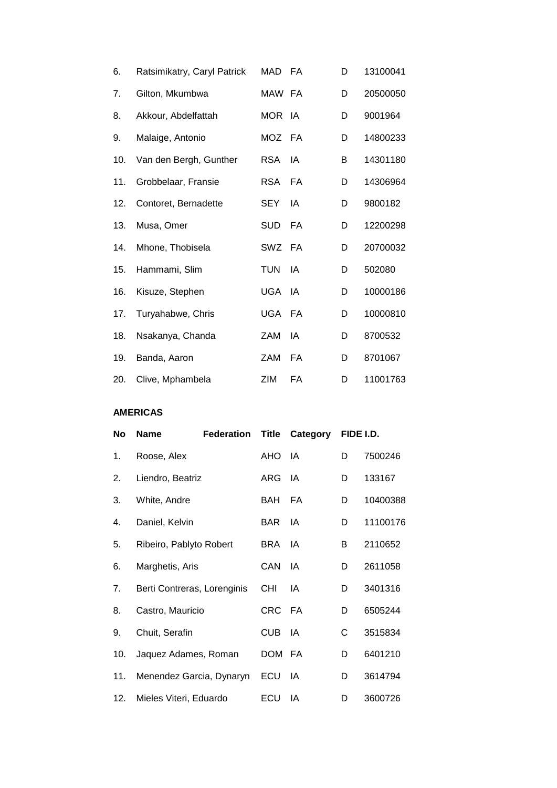| 6.  | Ratsimikatry, Caryl Patrick | MAD FA     |           | D | 13100041 |
|-----|-----------------------------|------------|-----------|---|----------|
| 7.  | Gilton, Mkumbwa             | MAW FA     |           | D | 20500050 |
| 8.  | Akkour, Abdelfattah         | MOR IA     |           | D | 9001964  |
| 9.  | Malaige, Antonio            | MOZ FA     |           | D | 14800233 |
| 10. | Van den Bergh, Gunther      | <b>RSA</b> | - IA      | В | 14301180 |
| 11. | Grobbelaar, Fransie         | RSA.       | - FA      | D | 14306964 |
| 12. | Contoret, Bernadette        | <b>SEY</b> | IA        | D | 9800182  |
| 13. | Musa, Omer                  | <b>SUD</b> | FA        | D | 12200298 |
| 14. | Mhone, Thobisela            | SWZ FA     |           | D | 20700032 |
| 15. | Hammami, Slim               | <b>TUN</b> | IA        | D | 502080   |
| 16. | Kisuze, Stephen             | <b>UGA</b> | - IA      | D | 10000186 |
| 17. | Turyahabwe, Chris           | <b>UGA</b> | <b>FA</b> | D | 10000810 |
| 18. | Nsakanya, Chanda            | ZAM        | IA        | D | 8700532  |
| 19. | Banda, Aaron                | ZAM        | FA        | D | 8701067  |
| 20. | Clive, Mphambela            | ZIM        | FA        | D | 11001763 |

**AMERICAS**

| No  | <b>Name</b>                 | <b>Federation</b> | <b>Title</b> | Category |   | FIDE I.D. |
|-----|-----------------------------|-------------------|--------------|----------|---|-----------|
| 1.  | Roose, Alex                 |                   | AHO          | IA       | D | 7500246   |
| 2.  | Liendro, Beatriz            |                   | ARG          | IA       | D | 133167    |
| 3.  | White, Andre                |                   | BAH          | FA       | D | 10400388  |
| 4.  | Daniel, Kelvin              |                   | <b>BAR</b>   | IA       | D | 11100176  |
| 5.  | Ribeiro, Pablyto Robert     |                   | <b>BRA</b>   | IA       | B | 2110652   |
| 6.  | Marghetis, Aris             |                   | CAN          | IA       | D | 2611058   |
| 7.  | Berti Contreras, Lorenginis |                   | <b>CHI</b>   | IA       | D | 3401316   |
| 8.  | Castro, Mauricio            |                   | CRC.         | - FA     | D | 6505244   |
| 9.  | Chuit, Serafin              |                   | <b>CUB</b>   | IA       | C | 3515834   |
| 10. | Jaquez Adames, Roman        |                   | <b>DOM</b>   | - FA     | D | 6401210   |
| 11. | Menendez Garcia, Dynaryn    |                   | ECU          | IA       | D | 3614794   |
| 12. | Mieles Viteri, Eduardo      |                   | ECU          | IA       | D | 3600726   |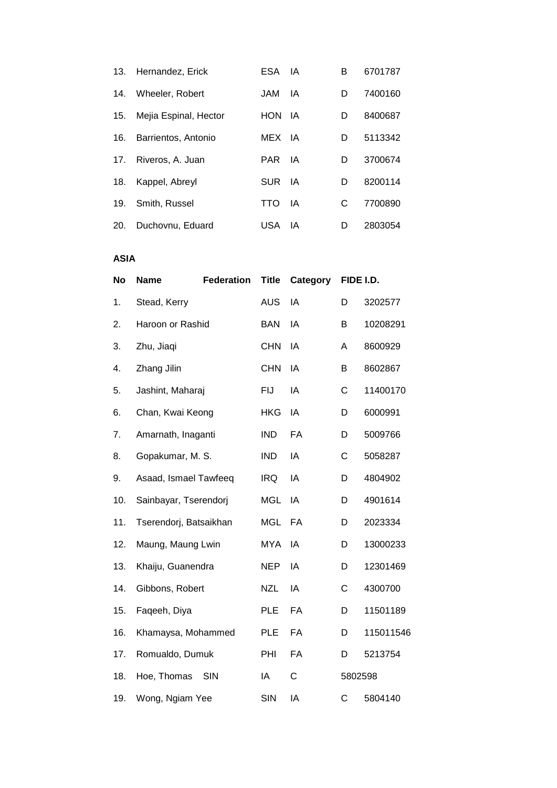| 13. | Hernandez, Erick      | ESA IA     |      | В | 6701787 |
|-----|-----------------------|------------|------|---|---------|
| 14. | Wheeler, Robert       | JAM        | IA   | D | 7400160 |
| 15. | Mejia Espinal, Hector | <b>HON</b> | IA   | D | 8400687 |
| 16. | Barrientos, Antonio   | MEX IA     |      | D | 5113342 |
| 17. | Riveros, A. Juan      | PAR IA     |      | D | 3700674 |
| 18. | Kappel, Abreyl        | SUR.       | - IA | D | 8200114 |
| 19. | Smith, Russel         | <b>TTO</b> | IA   | С | 7700890 |
| 20. | Duchovnu, Eduard      | USA        | ΙA   | D | 2803054 |

**ASIA**

| <b>No</b> | <b>Name</b>            | <b>Federation</b> | <b>Title</b> | Category  |              | FIDE I.D. |
|-----------|------------------------|-------------------|--------------|-----------|--------------|-----------|
| 1.        | Stead, Kerry           |                   | <b>AUS</b>   | IA        | D            | 3202577   |
| 2.        | Haroon or Rashid       |                   | <b>BAN</b>   | IA        | В            | 10208291  |
| 3.        | Zhu, Jiaqi             |                   | <b>CHN</b>   | IA        | Α            | 8600929   |
| 4.        | Zhang Jilin            |                   | <b>CHN</b>   | IA        | В            | 8602867   |
| 5.        | Jashint, Maharaj       |                   | <b>FIJ</b>   | IA        | $\mathsf{C}$ | 11400170  |
| 6.        | Chan, Kwai Keong       |                   | <b>HKG</b>   | IA        | D            | 6000991   |
| 7.        | Amarnath, Inaganti     |                   | <b>IND</b>   | FA        | D            | 5009766   |
| 8.        | Gopakumar, M. S.       |                   | <b>IND</b>   | IA        | C            | 5058287   |
| 9.        | Asaad, Ismael Tawfeeq  |                   | <b>IRQ</b>   | IA        | D            | 4804902   |
| 10.       | Sainbayar, Tserendorj  |                   | <b>MGL</b>   | IA        | D            | 4901614   |
| 11.       | Tserendorj, Batsaikhan |                   | <b>MGL</b>   | FA        | D            | 2023334   |
| 12.       | Maung, Maung Lwin      |                   | <b>MYA</b>   | IA        | D            | 13000233  |
| 13.       | Khaiju, Guanendra      |                   | <b>NEP</b>   | IA        | D            | 12301469  |
| 14.       | Gibbons, Robert        |                   | <b>NZL</b>   | IA        | C            | 4300700   |
| 15.       | Faqeeh, Diya           |                   | <b>PLE</b>   | FA        | D            | 11501189  |
| 16.       | Khamaysa, Mohammed     |                   | <b>PLE</b>   | <b>FA</b> | D            | 115011546 |
| 17.       | Romualdo, Dumuk        |                   | PHI          | FA        | D            | 5213754   |
| 18.       | Hoe, Thomas            | SIN               | IA           | C         |              | 5802598   |
| 19.       | Wong, Ngiam Yee        |                   | <b>SIN</b>   | IA        | C            | 5804140   |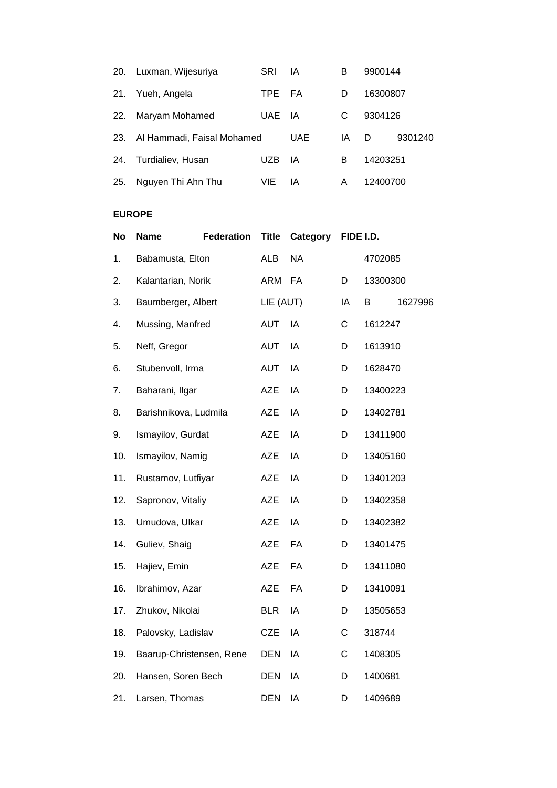| 20. | Luxman, Wijesuriya         | <b>SRI</b> | ΙA         | в  | 9900144  |         |
|-----|----------------------------|------------|------------|----|----------|---------|
| 21. | Yueh, Angela               | TPE        | - FA       | D  | 16300807 |         |
| 22. | Maryam Mohamed             | UAE        | - IA       | C  | 9304126  |         |
| 23. | Al Hammadi, Faisal Mohamed |            | <b>UAE</b> | IA | D        | 9301240 |
| 24. | Turdialiev, Husan          | UZB        | ΙA         | в  | 14203251 |         |
| 25. | Nguyen Thi Ahn Thu         | VIE.       | ΙA         | Α  | 12400700 |         |

## **EUROPE**

| <b>No</b> | <b>Name</b>              | <b>Federation</b> | <b>Title</b> | Category  |    | FIDE I.D. |         |
|-----------|--------------------------|-------------------|--------------|-----------|----|-----------|---------|
| 1.        | Babamusta, Elton         |                   | <b>ALB</b>   | <b>NA</b> |    | 4702085   |         |
| 2.        | Kalantarian, Norik       |                   | ARM          | <b>FA</b> | D  | 13300300  |         |
| 3.        | Baumberger, Albert       |                   | LIE (AUT)    |           | IA | В         | 1627996 |
| 4.        | Mussing, Manfred         |                   | <b>AUT</b>   | IA        | C  | 1612247   |         |
| 5.        | Neff, Gregor             |                   | <b>AUT</b>   | IA        | D  | 1613910   |         |
| 6.        | Stubenvoll, Irma         |                   | <b>AUT</b>   | IA        | D  | 1628470   |         |
| 7.        | Baharani, Ilgar          |                   | <b>AZE</b>   | IA        | D  | 13400223  |         |
| 8.        | Barishnikova, Ludmila    |                   | <b>AZE</b>   | IA        | D  | 13402781  |         |
| 9.        | Ismayilov, Gurdat        |                   | <b>AZE</b>   | IA        | D  | 13411900  |         |
| 10.       | Ismayilov, Namig         |                   | <b>AZE</b>   | IA        | D  | 13405160  |         |
| 11.       | Rustamov, Lutfiyar       |                   | <b>AZE</b>   | IA        | D  | 13401203  |         |
| 12.       | Sapronov, Vitaliy        |                   | <b>AZE</b>   | IA        | D  | 13402358  |         |
| 13.       | Umudova, Ulkar           |                   | <b>AZE</b>   | IA        | D  | 13402382  |         |
| 14.       | Guliev, Shaig            |                   | <b>AZE</b>   | FA        | D  | 13401475  |         |
| 15.       | Hajiev, Emin             |                   | <b>AZE</b>   | FA        | D  | 13411080  |         |
| 16.       | Ibrahimov, Azar          |                   | <b>AZE</b>   | FA        | D  | 13410091  |         |
| 17.       | Zhukov, Nikolai          |                   | <b>BLR</b>   | IA        | D  | 13505653  |         |
| 18.       | Palovsky, Ladislav       |                   | <b>CZE</b>   | IA        | C  | 318744    |         |
| 19.       | Baarup-Christensen, Rene |                   | <b>DEN</b>   | IA        | C  | 1408305   |         |
| 20.       | Hansen, Soren Bech       |                   | <b>DEN</b>   | IA        | D  | 1400681   |         |
| 21.       | Larsen, Thomas           |                   | <b>DEN</b>   | IA        | D  | 1409689   |         |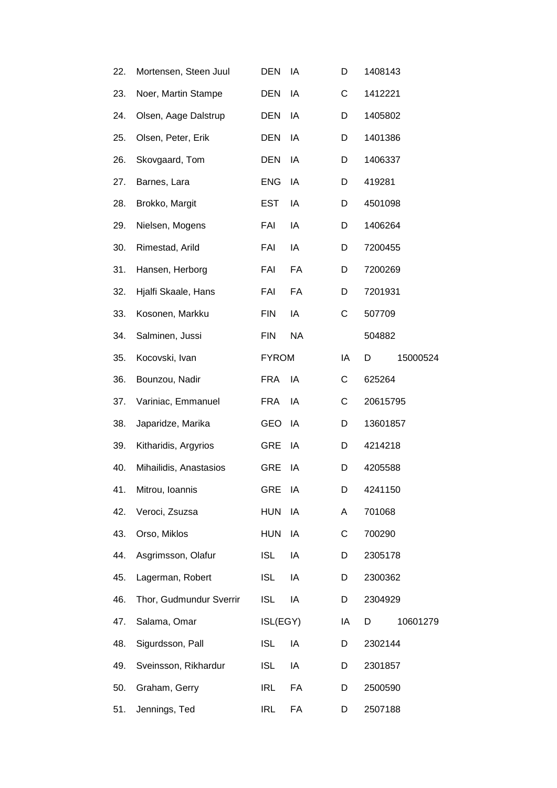| 22. | Mortensen, Steen Juul   | <b>DEN</b>   | IA        | D  | 1408143  |          |
|-----|-------------------------|--------------|-----------|----|----------|----------|
| 23. | Noer, Martin Stampe     | <b>DEN</b>   | ΙA        | С  | 1412221  |          |
| 24. | Olsen, Aage Dalstrup    | DEN          | IA        | D  | 1405802  |          |
| 25. | Olsen, Peter, Erik      | <b>DEN</b>   | IA        | D  | 1401386  |          |
| 26. | Skovgaard, Tom          | <b>DEN</b>   | IA        | D  | 1406337  |          |
| 27. | Barnes, Lara            | <b>ENG</b>   | IA        | D  | 419281   |          |
| 28. | Brokko, Margit          | <b>EST</b>   | IA        | D  | 4501098  |          |
| 29. | Nielsen, Mogens         | FAI          | IA        | D  | 1406264  |          |
| 30. | Rimestad, Arild         | FAI          | IA        | D  | 7200455  |          |
| 31. | Hansen, Herborg         | FAI          | FA        | D  | 7200269  |          |
| 32. | Hjalfi Skaale, Hans     | FAI          | FA        | D  | 7201931  |          |
| 33. | Kosonen, Markku         | <b>FIN</b>   | IA        | C  | 507709   |          |
| 34. | Salminen, Jussi         | <b>FIN</b>   | <b>NA</b> |    | 504882   |          |
| 35. | Kocovski, Ivan          | <b>FYROM</b> |           | ΙA | D        | 15000524 |
| 36. | Bounzou, Nadir          | <b>FRA</b>   | IA        | С  | 625264   |          |
| 37. | Variniac, Emmanuel      | <b>FRA</b>   | IA        | С  | 20615795 |          |
| 38. | Japaridze, Marika       | <b>GEO</b>   | IA        | D  | 13601857 |          |
| 39. | Kitharidis, Argyrios    | <b>GRE</b>   | IA        | D  | 4214218  |          |
| 40. | Mihailidis, Anastasios  | GRE          | IA        | D  | 4205588  |          |
| 41. | Mitrou, Ioannis         | <b>GRE</b>   | IA        | D  | 4241150  |          |
| 42. | Veroci, Zsuzsa          | <b>HUN</b>   | IA        | A  | 701068   |          |
| 43. | Orso, Miklos            | <b>HUN</b>   | IA        | C  | 700290   |          |
| 44. | Asgrimsson, Olafur      | <b>ISL</b>   | IA        | D  | 2305178  |          |
| 45. | Lagerman, Robert        | <b>ISL</b>   | IA        | D  | 2300362  |          |
| 46. | Thor, Gudmundur Sverrir | <b>ISL</b>   | IA        | D  | 2304929  |          |
| 47. | Salama, Omar            | ISL(EGY)     |           | ΙA | D        | 10601279 |
| 48. | Sigurdsson, Pall        | <b>ISL</b>   | IA        | D  | 2302144  |          |
| 49. | Sveinsson, Rikhardur    | <b>ISL</b>   | IA        | D  | 2301857  |          |
| 50. | Graham, Gerry           | <b>IRL</b>   | FA        | D  | 2500590  |          |
| 51. | Jennings, Ted           | <b>IRL</b>   | FA        | D  | 2507188  |          |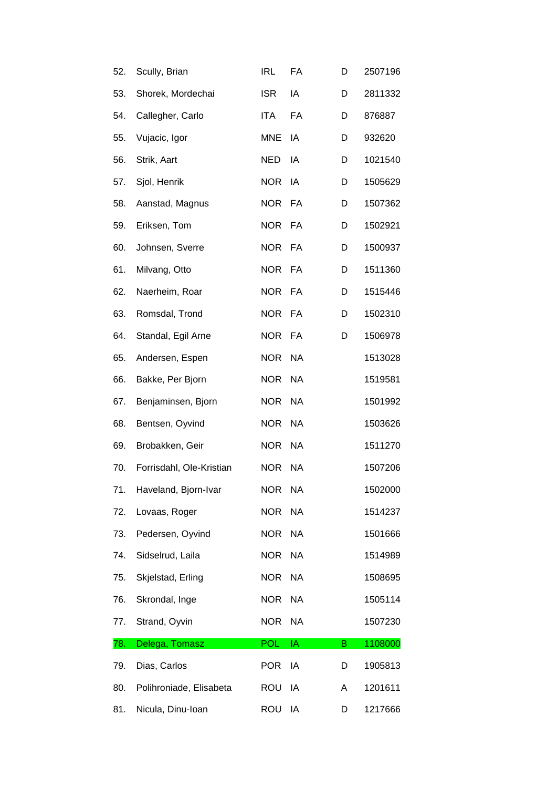| 52. | Scully, Brian            | <b>IRL</b> | FA        | D | 2507196 |
|-----|--------------------------|------------|-----------|---|---------|
| 53. | Shorek, Mordechai        | <b>ISR</b> | IA        | D | 2811332 |
| 54. | Callegher, Carlo         | <b>ITA</b> | FA        | D | 876887  |
| 55. | Vujacic, Igor            | <b>MNE</b> | IA        | D | 932620  |
| 56. | Strik, Aart              | <b>NED</b> | IA        | D | 1021540 |
| 57. | Sjol, Henrik             | <b>NOR</b> | IA        | D | 1505629 |
| 58. | Aanstad, Magnus          | <b>NOR</b> | FA        | D | 1507362 |
| 59. | Eriksen, Tom             | <b>NOR</b> | FA        | D | 1502921 |
| 60. | Johnsen, Sverre          | <b>NOR</b> | FA        | D | 1500937 |
| 61. | Milvang, Otto            | <b>NOR</b> | FA        | D | 1511360 |
| 62. | Naerheim, Roar           | <b>NOR</b> | FA        | D | 1515446 |
| 63. | Romsdal, Trond           | <b>NOR</b> | FA        | D | 1502310 |
| 64. | Standal, Egil Arne       | <b>NOR</b> | FA        | D | 1506978 |
| 65. | Andersen, Espen          | <b>NOR</b> | <b>NA</b> |   | 1513028 |
| 66. | Bakke, Per Bjorn         | <b>NOR</b> | <b>NA</b> |   | 1519581 |
| 67. | Benjaminsen, Bjorn       | <b>NOR</b> | <b>NA</b> |   | 1501992 |
| 68. | Bentsen, Oyvind          | <b>NOR</b> | <b>NA</b> |   | 1503626 |
| 69. | Brobakken, Geir          | <b>NOR</b> | <b>NA</b> |   | 1511270 |
| 70. | Forrisdahl, Ole-Kristian | <b>NOR</b> | <b>NA</b> |   | 1507206 |
| 71. | Haveland, Bjorn-Ivar     | <b>NOR</b> | <b>NA</b> |   | 1502000 |
| 72. | Lovaas, Roger            | <b>NOR</b> | <b>NA</b> |   | 1514237 |
| 73. | Pedersen, Oyvind         | <b>NOR</b> | <b>NA</b> |   | 1501666 |
| 74. | Sidselrud, Laila         | <b>NOR</b> | <b>NA</b> |   | 1514989 |
| 75. | Skjelstad, Erling        | <b>NOR</b> | <b>NA</b> |   | 1508695 |
| 76. | Skrondal, Inge           | <b>NOR</b> | <b>NA</b> |   | 1505114 |
| 77. | Strand, Oyvin            | <b>NOR</b> | <b>NA</b> |   | 1507230 |
| 78. | Delega, Tomasz           | POL        | IA        | B | 1108000 |
| 79. | Dias, Carlos             | <b>POR</b> | IA        | D | 1905813 |
| 80. | Polihroniade, Elisabeta  | <b>ROU</b> | IA        | Α | 1201611 |
| 81. | Nicula, Dinu-Ioan        | ROU        | IA        | D | 1217666 |